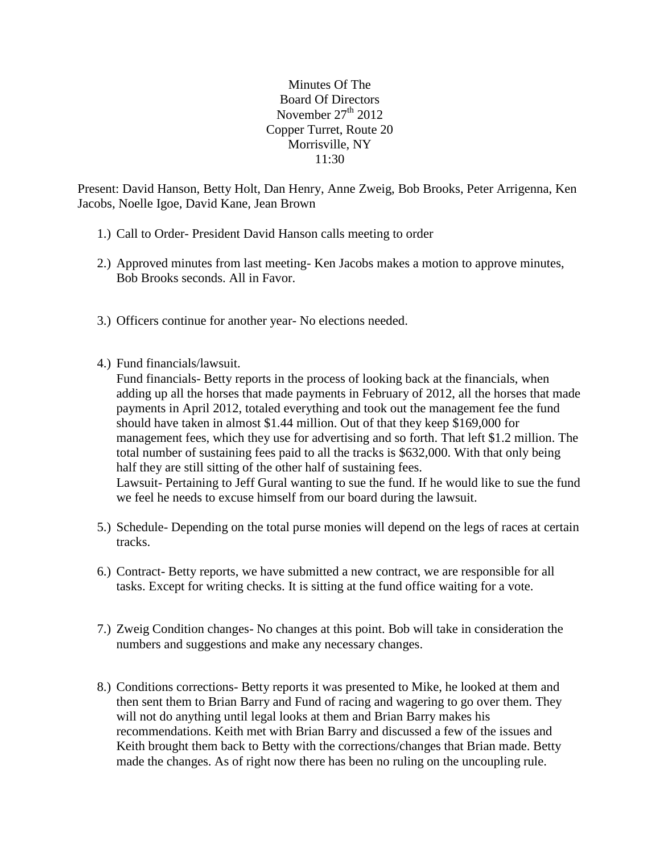Minutes Of The Board Of Directors November  $27<sup>th</sup> 2012$ Copper Turret, Route 20 Morrisville, NY 11:30

Present: David Hanson, Betty Holt, Dan Henry, Anne Zweig, Bob Brooks, Peter Arrigenna, Ken Jacobs, Noelle Igoe, David Kane, Jean Brown

- 1.) Call to Order- President David Hanson calls meeting to order
- 2.) Approved minutes from last meeting- Ken Jacobs makes a motion to approve minutes, Bob Brooks seconds. All in Favor.
- 3.) Officers continue for another year- No elections needed.
- 4.) Fund financials/lawsuit.

Fund financials- Betty reports in the process of looking back at the financials, when adding up all the horses that made payments in February of 2012, all the horses that made payments in April 2012, totaled everything and took out the management fee the fund should have taken in almost \$1.44 million. Out of that they keep \$169,000 for management fees, which they use for advertising and so forth. That left \$1.2 million. The total number of sustaining fees paid to all the tracks is \$632,000. With that only being half they are still sitting of the other half of sustaining fees. Lawsuit- Pertaining to Jeff Gural wanting to sue the fund. If he would like to sue the fund we feel he needs to excuse himself from our board during the lawsuit.

- 5.) Schedule- Depending on the total purse monies will depend on the legs of races at certain tracks.
- 6.) Contract- Betty reports, we have submitted a new contract, we are responsible for all tasks. Except for writing checks. It is sitting at the fund office waiting for a vote.
- 7.) Zweig Condition changes- No changes at this point. Bob will take in consideration the numbers and suggestions and make any necessary changes.
- 8.) Conditions corrections- Betty reports it was presented to Mike, he looked at them and then sent them to Brian Barry and Fund of racing and wagering to go over them. They will not do anything until legal looks at them and Brian Barry makes his recommendations. Keith met with Brian Barry and discussed a few of the issues and Keith brought them back to Betty with the corrections/changes that Brian made. Betty made the changes. As of right now there has been no ruling on the uncoupling rule.